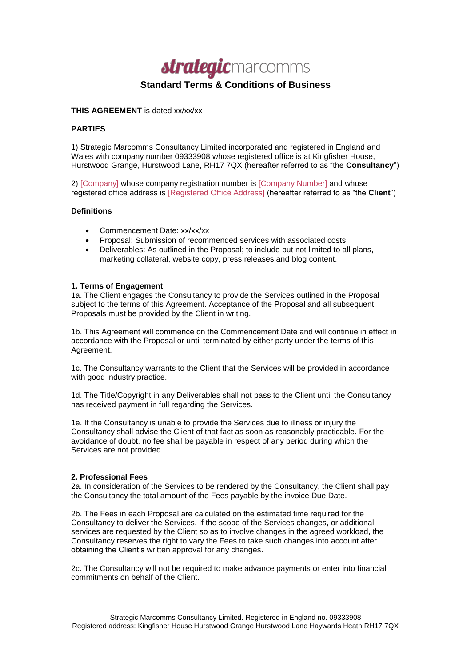

# **Standard Terms & Conditions of Business**

## **THIS AGREEMENT** is dated xx/xx/xx

## **PARTIES**

1) Strategic Marcomms Consultancy Limited incorporated and registered in England and Wales with company number 09333908 whose registered office is at Kingfisher House, Hurstwood Grange, Hurstwood Lane, RH17 7QX (hereafter referred to as "the **Consultancy**")

2) [Company] whose company registration number is [Company Number] and whose registered office address is [Registered Office Address] (hereafter referred to as "the **Client**")

### **Definitions**

- Commencement Date: xx/xx/xx
- Proposal: Submission of recommended services with associated costs
- Deliverables: As outlined in the Proposal; to include but not limited to all plans, marketing collateral, website copy, press releases and blog content.

## **1. Terms of Engagement**

1a. The Client engages the Consultancy to provide the Services outlined in the Proposal subject to the terms of this Agreement. Acceptance of the Proposal and all subsequent Proposals must be provided by the Client in writing.

1b. This Agreement will commence on the Commencement Date and will continue in effect in accordance with the Proposal or until terminated by either party under the terms of this Agreement.

1c. The Consultancy warrants to the Client that the Services will be provided in accordance with good industry practice.

1d. The Title/Copyright in any Deliverables shall not pass to the Client until the Consultancy has received payment in full regarding the Services.

1e. If the Consultancy is unable to provide the Services due to illness or injury the Consultancy shall advise the Client of that fact as soon as reasonably practicable. For the avoidance of doubt, no fee shall be payable in respect of any period during which the Services are not provided.

### **2. Professional Fees**

2a. In consideration of the Services to be rendered by the Consultancy, the Client shall pay the Consultancy the total amount of the Fees payable by the invoice Due Date.

2b. The Fees in each Proposal are calculated on the estimated time required for the Consultancy to deliver the Services. If the scope of the Services changes, or additional services are requested by the Client so as to involve changes in the agreed workload, the Consultancy reserves the right to vary the Fees to take such changes into account after obtaining the Client's written approval for any changes.

2c. The Consultancy will not be required to make advance payments or enter into financial commitments on behalf of the Client.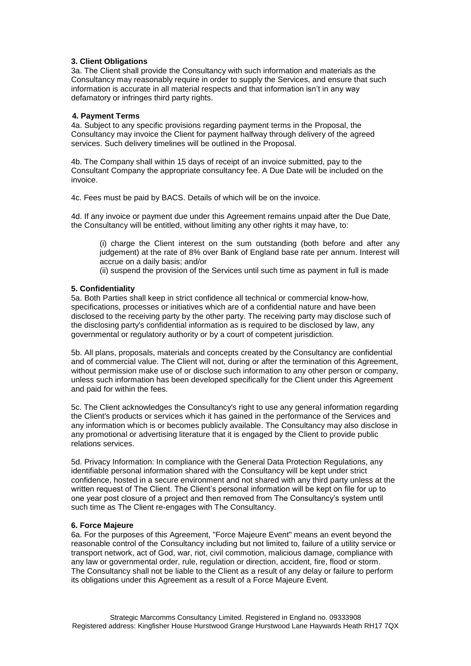## **3. Client Obligations**

3a. The Client shall provide the Consultancy with such information and materials as the Consultancy may reasonably require in order to supply the Services, and ensure that such information is accurate in all material respects and that information isn't in any way defamatory or infringes third party rights.

### **4. Payment Terms**

4a. Subject to any specific provisions regarding payment terms in the Proposal, the Consultancy may invoice the Client for payment halfway through delivery of the agreed services. Such delivery timelines will be outlined in the Proposal.

4b. The Company shall within 15 days of receipt of an invoice submitted, pay to the Consultant Company the appropriate consultancy fee. A Due Date will be included on the invoice.

4c. Fees must be paid by BACS. Details of which will be on the invoice.

4d. If any invoice or payment due under this Agreement remains unpaid after the Due Date, the Consultancy will be entitled, without limiting any other rights it may have, to:

(i) charge the Client interest on the sum outstanding (both before and after any judgement) at the rate of 8% over Bank of England base rate per annum. Interest will accrue on a daily basis; and/or

(ii) suspend the provision of the Services until such time as payment in full is made

## **5. Confidentiality**

5a. Both Parties shall keep in strict confidence all technical or commercial know-how, specifications, processes or initiatives which are of a confidential nature and have been disclosed to the receiving party by the other party. The receiving party may disclose such of the disclosing party's confidential information as is required to be disclosed by law, any governmental or regulatory authority or by a court of competent jurisdiction.

5b. All plans, proposals, materials and concepts created by the Consultancy are confidential and of commercial value. The Client will not, during or after the termination of this Agreement, without permission make use of or disclose such information to any other person or company, unless such information has been developed specifically for the Client under this Agreement and paid for within the fees.

5c. The Client acknowledges the Consultancy's right to use any general information regarding the Client's products or services which it has gained in the performance of the Services and any information which is or becomes publicly available. The Consultancy may also disclose in any promotional or advertising literature that it is engaged by the Client to provide public relations services.

5d. Privacy Information: In compliance with the General Data Protection Regulations, any identifiable personal information shared with the Consultancy will be kept under strict confidence, hosted in a secure environment and not shared with any third party unless at the written request of The Client. The Client's personal information will be kept on file for up to one year post closure of a project and then removed from The Consultancy's system until such time as The Client re-engages with The Consultancy.

### **6. Force Majeure**

6a. For the purposes of this Agreement, "Force Majeure Event" means an event beyond the reasonable control of the Consultancy including but not limited to, failure of a utility service or transport network, act of God, war, riot, civil commotion, malicious damage, compliance with any law or governmental order, rule, regulation or direction, accident, fire, flood or storm. The Consultancy shall not be liable to the Client as a result of any delay or failure to perform its obligations under this Agreement as a result of a Force Majeure Event.